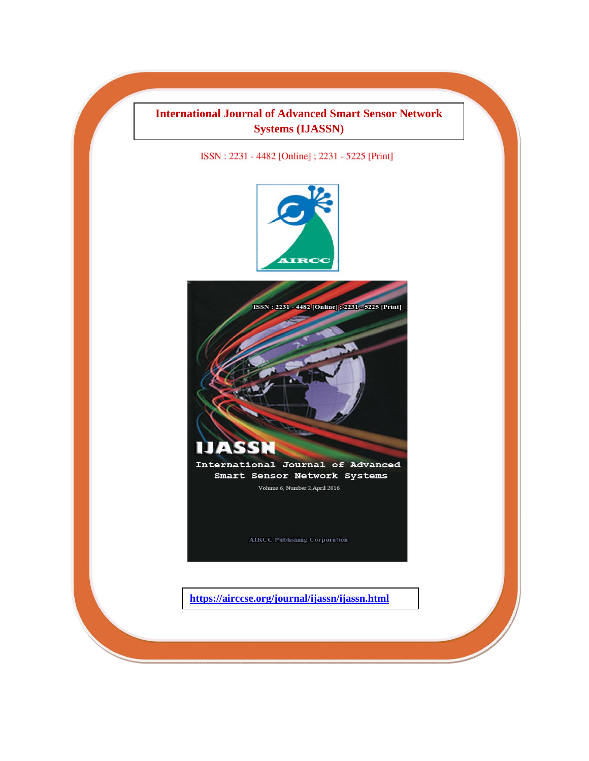## **International Journal of Advanced Smart Sensor Network Systems (IJASSN)**

ISSN: 2231 - 4482 [Online]; 2231 - 5225 [Print]





Volume 6, Number 2, April 2016

**AIRCC Publishing Corporation**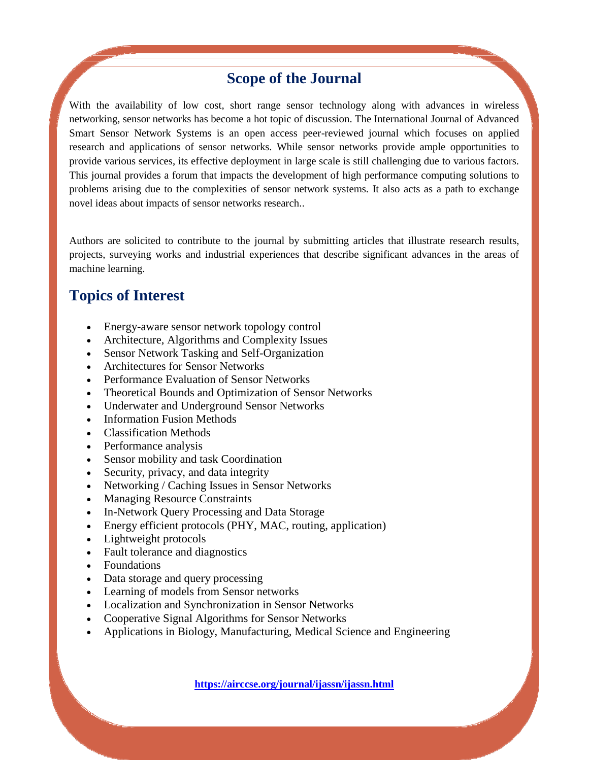## **Scope of the Journal**

With the availability of low cost, short range sensor technology along with advances in wireless networking, sensor networks has become a hot topic of discussion. The International Journal of Advanced Smart Sensor Network Systems is an open access peer-reviewed journal which focuses on applied research and applications of sensor networks. While sensor networks provide ample opportunities to provide various services, its effective deployment in large scale is still challenging due to various factors. This journal provides a forum that impacts the development of high performance computing solutions to problems arising due to the complexities of sensor network systems. It also acts as a path to exchange novel ideas about impacts of sensor networks research..

Authors are solicited to contribute to the journal by submitting articles that illustrate research results, projects, surveying works and industrial experiences that describe significant advances in the areas of machine learning.

## **Topics of Interest**

- Energy-aware sensor network topology control
- Architecture, Algorithms and Complexity Issues
- Sensor Network Tasking and Self-Organization
- Architectures for Sensor Networks
- Performance Evaluation of Sensor Networks
- Theoretical Bounds and Optimization of Sensor Networks
- Underwater and Underground Sensor Networks
- Information Fusion Methods
- Classification Methods
- Performance analysis
- Sensor mobility and task Coordination
- Security, privacy, and data integrity
- Networking / Caching Issues in Sensor Networks
- Managing Resource Constraints
- In-Network Query Processing and Data Storage
- Energy efficient protocols (PHY, MAC, routing, application)
- Lightweight protocols
- Fault tolerance and diagnostics
- Foundations
- Data storage and query processing
- Learning of models from Sensor networks
- Localization and Synchronization in Sensor Networks
- Cooperative Signal Algorithms for Sensor Networks
- Applications in Biology, Manufacturing, Medical Science and Engineering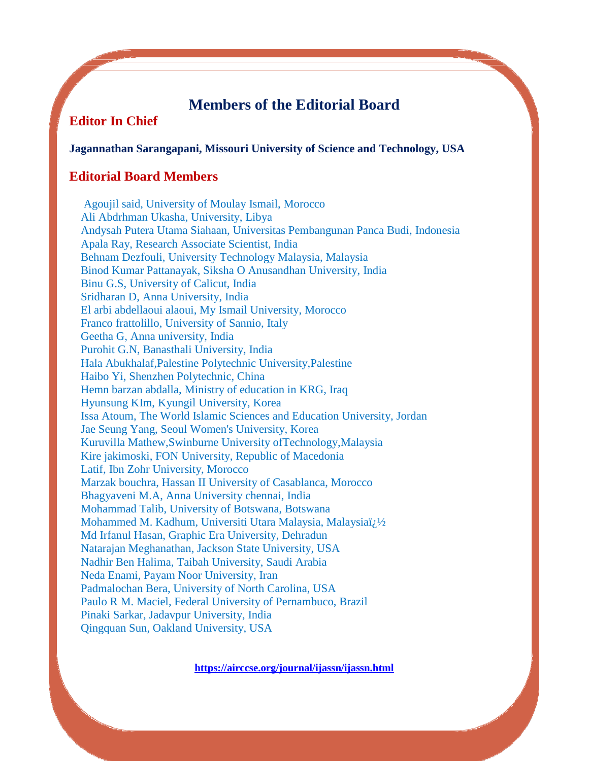## **Members of the Editorial Board**

## **Editor In Chief**

#### **Jagannathan Sarangapani, Missouri University of Science and Technology, USA**

### **Editorial Board Members**

 Agoujil said, University of Moulay Ismail, Morocco Ali Abdrhman Ukasha, University, Libya Andysah Putera Utama Siahaan, Universitas Pembangunan Panca Budi, Indonesia Apala Ray, Research Associate Scientist, India Behnam Dezfouli, University Technology Malaysia, Malaysia Binod Kumar Pattanayak, Siksha O Anusandhan University, India Binu G.S, University of Calicut, India Sridharan D, Anna University, India El arbi abdellaoui alaoui, My Ismail University, Morocco Franco frattolillo, University of Sannio, Italy Geetha G, Anna university, India Purohit G.N, Banasthali University, India Hala Abukhalaf,Palestine Polytechnic University,Palestine Haibo Yi, Shenzhen Polytechnic, China Hemn barzan abdalla, Ministry of education in KRG, Iraq Hyunsung KIm, Kyungil University, Korea Issa Atoum, The World Islamic Sciences and Education University, Jordan Jae Seung Yang, Seoul Women's University, Korea Kuruvilla Mathew,Swinburne University ofTechnology,Malaysia Kire jakimoski, FON University, Republic of Macedonia Latif, Ibn Zohr University, Morocco Marzak bouchra, Hassan II University of Casablanca, Morocco Bhagyaveni M.A, Anna University chennai, India Mohammad Talib, University of Botswana, Botswana Mohammed M. Kadhum, Universiti Utara Malaysia, Malaysiaï/1/2 Md Irfanul Hasan, Graphic Era University, Dehradun Natarajan Meghanathan, Jackson State University, USA Nadhir Ben Halima, Taibah University, Saudi Arabia Neda Enami, Payam Noor University, Iran Padmalochan Bera, University of North Carolina, USA Paulo R M. Maciel, Federal University of Pernambuco, Brazil Pinaki Sarkar, Jadavpur University, India Qingquan Sun, Oakland University, USA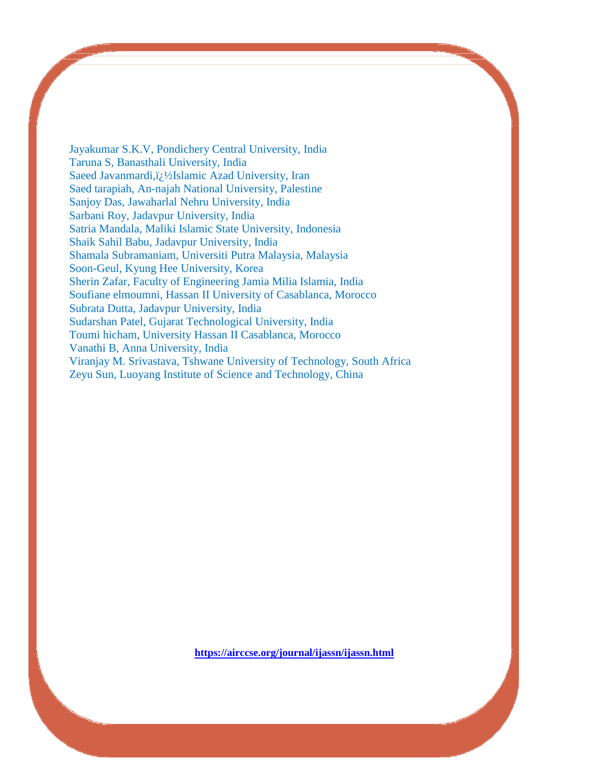Jayakumar S.K.V, Pondichery Central University, India Taruna S, Banasthali University, India Saeed Javanmardi, i<sub>i</sub> 1/2Islamic Azad University, Iran Saed tarapiah, An-najah National University, Palestine Sanjoy Das, Jawaharlal Nehru University, India Sarbani Roy, Jadavpur University, India Satria Mandala, Maliki Islamic State University, Indonesia Shaik Sahil Babu, Jadavpur University, India Shamala Subramaniam, Universiti Putra Malaysia, Malaysia Soon-Geul, Kyung Hee University, Korea Sherin Zafar, Faculty of Engineering Jamia Milia Islamia, India Soufiane elmoumni, Hassan II University of Casablanca, Morocco Subrata Dutta, Jadavpur University, India Sudarshan Patel, Gujarat Technological University, India Toumi hicham, University Hassan II Casablanca, Morocco Vanathi B, Anna University, India Viranjay M. Srivastava, Tshwane University of Technology, South Africa Zeyu Sun, Luoyang Institute of Science and Technology, China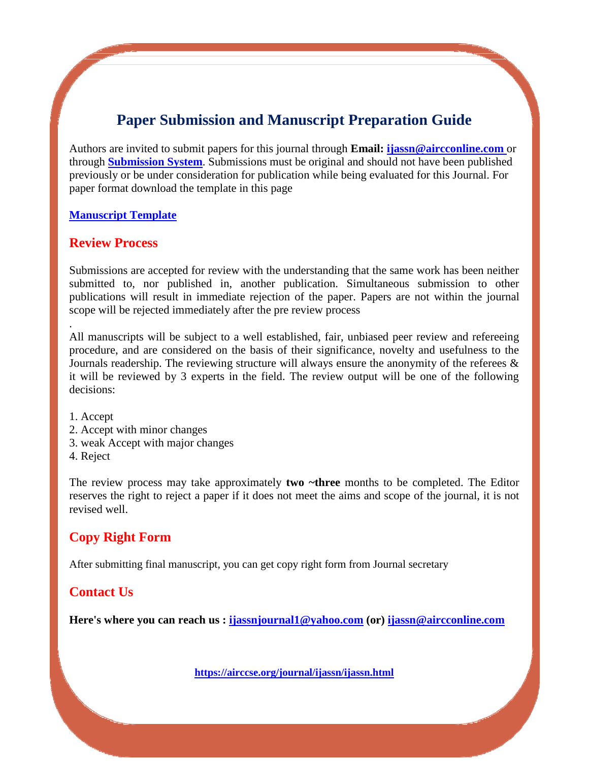## **Paper Submission and Manuscript Preparation Guide**

Authors are invited to submit papers for this journal through **Email: [ijassn@aircconline.com](mailto:ijassn@aircconline.com)** or through **[Submission System](http://coneco2009.com/submissions/imagination/home.html)**. Submissions must be original and should not have been published previously or be under consideration for publication while being evaluated for this Journal. For paper format download the template in this page

#### **[Manuscript Template](https://airccse.org/journal/aircc_template.doc)**

### **Review Process**

Submissions are accepted for review with the understanding that the same work has been neither submitted to, nor published in, another publication. Simultaneous submission to other publications will result in immediate rejection of the paper. Papers are not within the journal scope will be rejected immediately after the pre review process

All manuscripts will be subject to a well established, fair, unbiased peer review and refereeing procedure, and are considered on the basis of their significance, novelty and usefulness to the Journals readership. The reviewing structure will always ensure the anonymity of the referees  $\&$ it will be reviewed by 3 experts in the field. The review output will be one of the following decisions:

1. Accept

.

- 2. Accept with minor changes
- 3. weak Accept with major changes
- 4. Reject

The review process may take approximately **two ~three** months to be completed. The Editor reserves the right to reject a paper if it does not meet the aims and scope of the journal, it is not revised well.

### **Copy Right Form**

After submitting final manuscript, you can get copy right form from Journal secretary

### **Contact Us**

**Here's where you can reach us : [ijassnjournal1@yahoo.com](mailto:ijassnjournal1@yahoo.com) (or) [ijassn@aircconline.com](mailto:ijassn@aircconline.com)**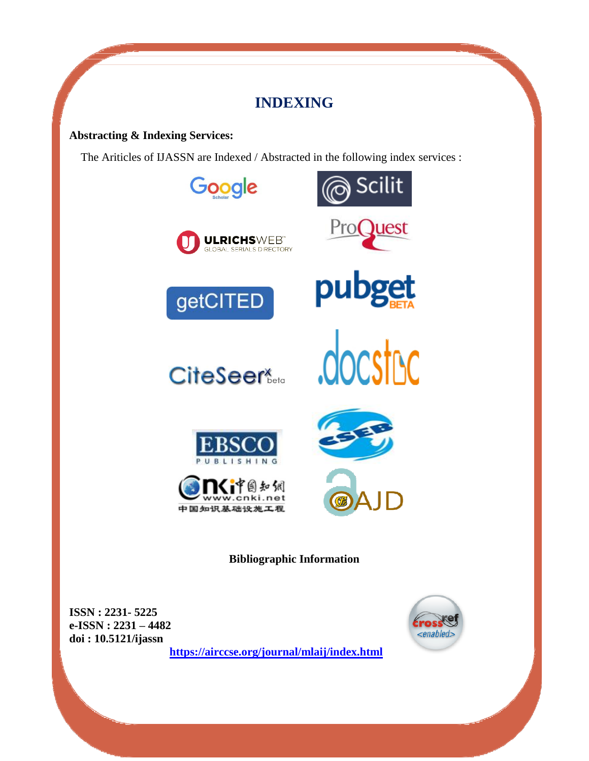## **INDEXING**

### **Abstracting & Indexing Services:**

The Ariticles of IJASSN are Indexed / Abstracted in the following index services :



**ISSN : 2231- 5225 e-ISSN : 2231 – 4482 doi : 10.5121/ijassn**

**<https://airccse.org/journal/mlaij/index.html>**